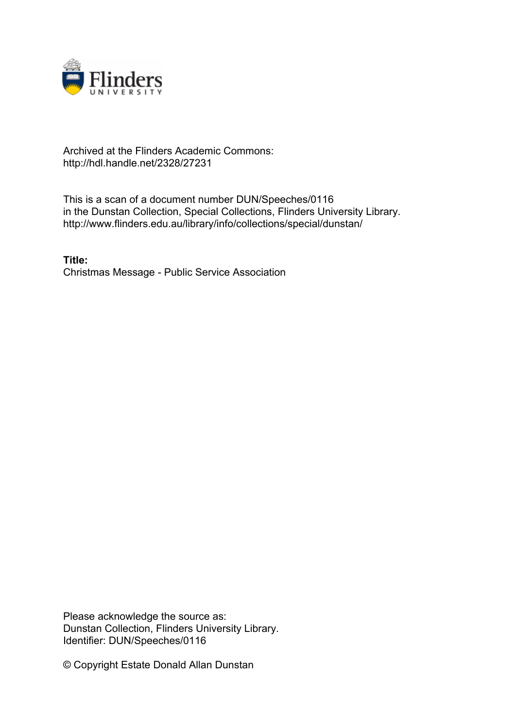

## Archived at the Flinders Academic Commons: http://hdl.handle.net/2328/27231

This is a scan of a document number DUN/Speeches/0116 in the Dunstan Collection, Special Collections, Flinders University Library. http://www.flinders.edu.au/library/info/collections/special/dunstan/

**Title:** Christmas Message - Public Service Association

Please acknowledge the source as: Dunstan Collection, Flinders University Library. Identifier: DUN/Speeches/0116

© Copyright Estate Donald Allan Dunstan